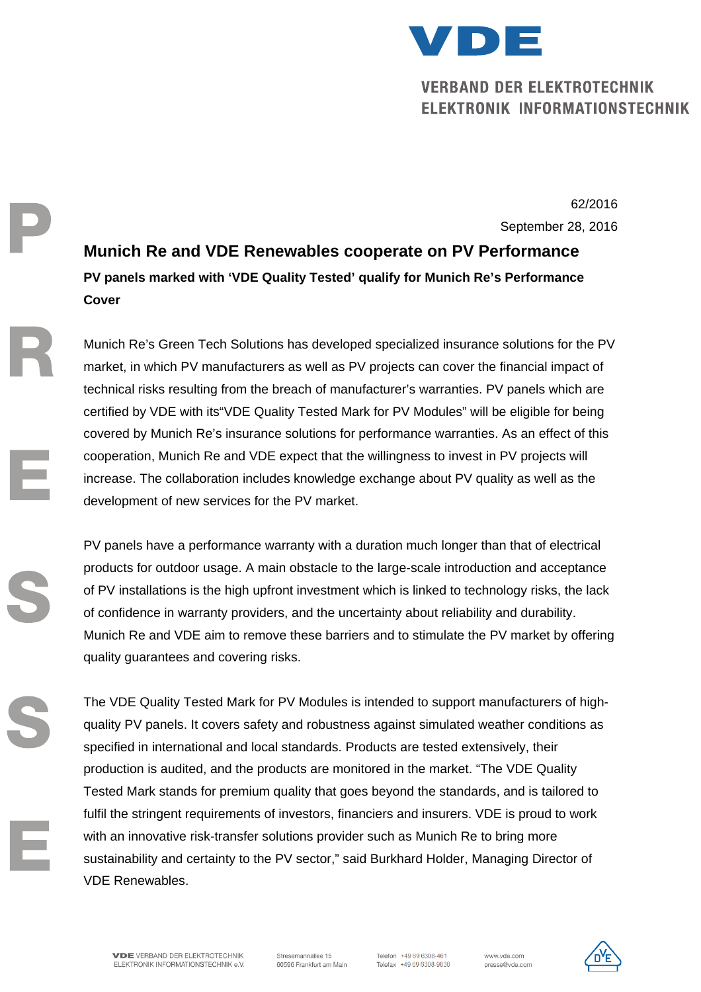

# **VERBAND DER ELEKTROTECHNIK ELEKTRONIK INFORMATIONSTECHNIK**

 62/2016 September 28, 2016

> **Munich Re and VDE Renewables cooperate on PV Performance PV panels marked with 'VDE Quality Tested' qualify for Munich Re's Performance Cover**

Munich Re's Green Tech Solutions has developed specialized insurance solutions for the PV market, in which PV manufacturers as well as PV projects can cover the financial impact of technical risks resulting from the breach of manufacturer's warranties. PV panels which are certified by VDE with its"VDE Quality Tested Mark for PV Modules" will be eligible for being covered by Munich Re's insurance solutions for performance warranties. As an effect of this cooperation, Munich Re and VDE expect that the willingness to invest in PV projects will increase. The collaboration includes knowledge exchange about PV quality as well as the development of new services for the PV market.

PV panels have a performance warranty with a duration much longer than that of electrical products for outdoor usage. A main obstacle to the large-scale introduction and acceptance of PV installations is the high upfront investment which is linked to technology risks, the lack of confidence in warranty providers, and the uncertainty about reliability and durability. Munich Re and VDE aim to remove these barriers and to stimulate the PV market by offering quality guarantees and covering risks.

The VDE Quality Tested Mark for PV Modules is intended to support manufacturers of highquality PV panels. It covers safety and robustness against simulated weather conditions as specified in international and local standards. Products are tested extensively, their production is audited, and the products are monitored in the market. "The VDE Quality Tested Mark stands for premium quality that goes beyond the standards, and is tailored to fulfil the stringent requirements of investors, financiers and insurers. VDE is proud to work with an innovative risk-transfer solutions provider such as Munich Re to bring more sustainability and certainty to the PV sector," said Burkhard Holder, Managing Director of VDE Renewables.

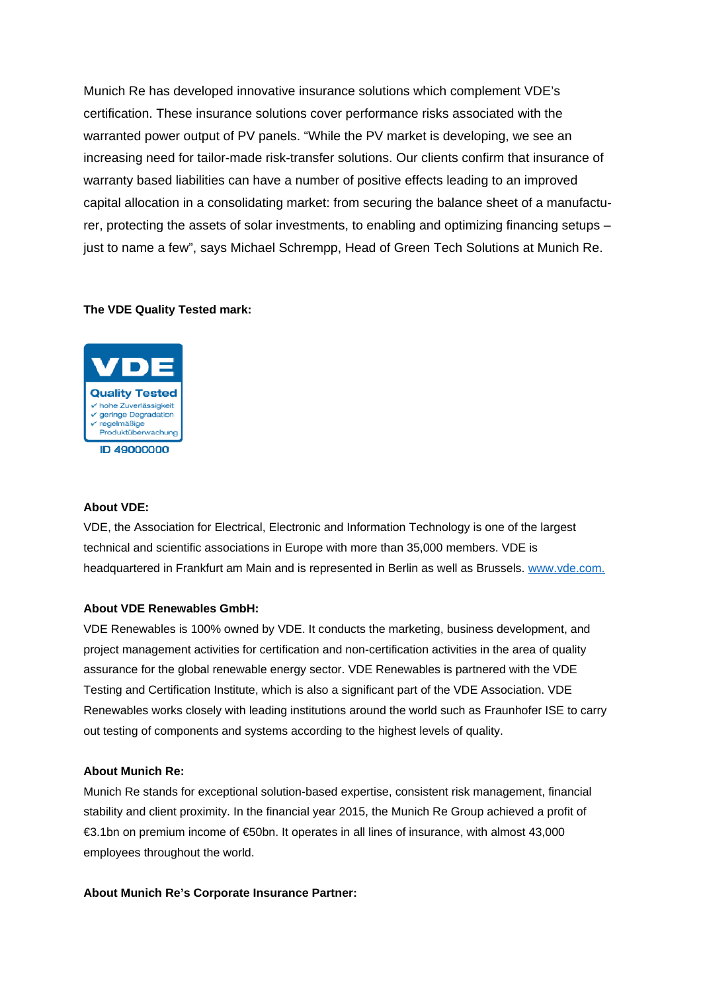Munich Re has developed innovative insurance solutions which complement VDE's certification. These insurance solutions cover performance risks associated with the warranted power output of PV panels. "While the PV market is developing, we see an increasing need for tailor-made risk-transfer solutions. Our clients confirm that insurance of warranty based liabilities can have a number of positive effects leading to an improved capital allocation in a consolidating market: from securing the balance sheet of a manufacturer, protecting the assets of solar investments, to enabling and optimizing financing setups – just to name a few", says Michael Schrempp, Head of Green Tech Solutions at Munich Re.

## **The VDE Quality Tested mark:**



## **About VDE:**

VDE, the Association for Electrical, Electronic and Information Technology is one of the largest technical and scientific associations in Europe with more than 35,000 members. VDE is headquartered in Frankfurt am Main and is represented in Berlin as well as Brussels. www.vde.com.

## **About VDE Renewables GmbH:**

VDE Renewables is 100% owned by VDE. It conducts the marketing, business development, and project management activities for certification and non-certification activities in the area of quality assurance for the global renewable energy sector. VDE Renewables is partnered with the VDE Testing and Certification Institute, which is also a significant part of the VDE Association. VDE Renewables works closely with leading institutions around the world such as Fraunhofer ISE to carry out testing of components and systems according to the highest levels of quality.

## **About Munich Re:**

Munich Re stands for exceptional solution-based expertise, consistent risk management, financial stability and client proximity. In the financial year 2015, the Munich Re Group achieved a profit of €3.1bn on premium income of €50bn. It operates in all lines of insurance, with almost 43,000 employees throughout the world.

## **About Munich Re's Corporate Insurance Partner:**